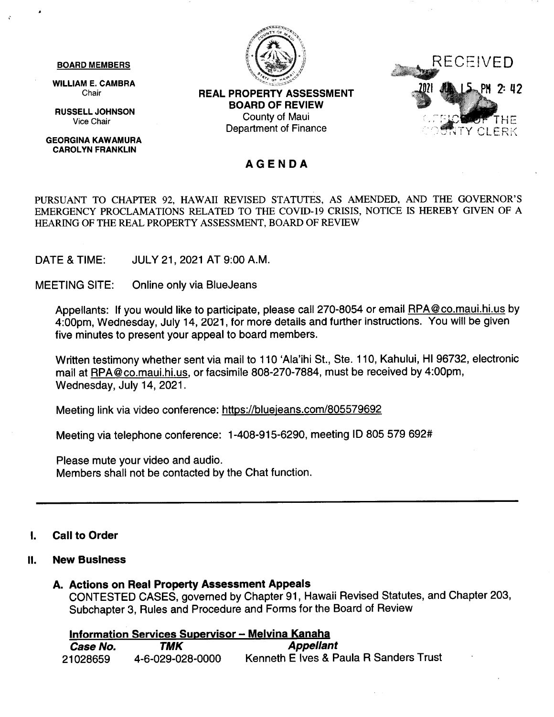#### **BOARD MEMBERS**

**WILLIAM E. CAMBRA** Chair

**RUSSELL JOHNSON** Vice Chair

**GEORGINA KAWAMURA CAROLYN FRANKLIN** 



**REAL PROPERTY ASSESSMENT BOARD OF REVIEW** County of Maui **Department of Finance** 



#### **AGENDA**

PURSUANT TO CHAPTER 92, HAWAII REVISED STATUTES, AS AMENDED, AND THE GOVERNOR'S EMERGENCY PROCLAMATIONS RELATED TO THE COVID-19 CRISIS, NOTICE IS HEREBY GIVEN OF A HEARING OF THE REAL PROPERTY ASSESSMENT, BOARD OF REVIEW

DATE & TIME: JULY 21, 2021 AT 9:00 A.M.

**MEETING SITE:** Online only via BlueJeans

Appellants: If you would like to participate, please call 270-8054 or email RPA@co.maui.hi.us by 4:00pm, Wednesday, July 14, 2021, for more details and further instructions. You will be given five minutes to present your appeal to board members.

Written testimony whether sent via mail to 110 'Ala'ihi St., Ste. 110, Kahului, HI 96732, electronic mail at RPA@co.maui.hi.us, or facsimile 808-270-7884, must be received by 4:00pm, Wednesday, July 14, 2021.

Meeting link via video conference: https://bluejeans.com/805579692

Meeting via telephone conference: 1-408-915-6290, meeting ID 805 579 692#

Please mute your video and audio. Members shall not be contacted by the Chat function.

#### **Call to Order** 1.

#### $II.$ **New Business**

#### A. Actions on Real Property Assessment Appeals

CONTESTED CASES, governed by Chapter 91, Hawaii Revised Statutes, and Chapter 203, Subchapter 3. Rules and Procedure and Forms for the Board of Review

#### **Information Services Supervisor - Melvina Kanaha**

| Case No. | TMK              | <b>Appellant</b>                       |
|----------|------------------|----------------------------------------|
| 21028659 | 4-6-029-028-0000 | Kenneth E Ives & Paula R Sanders Trust |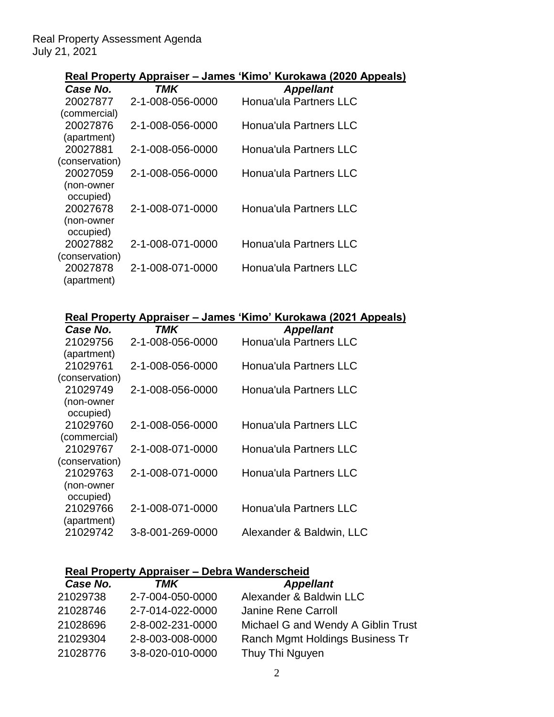### Real Property Assessment Agenda July 21, 2021

## **Real Property Appraiser – James 'Kimo' Kurokawa (2020 Appeals)**

| Case No.       | TMK              | <b>Appellant</b>              |
|----------------|------------------|-------------------------------|
| 20027877       | 2-1-008-056-0000 | <b>Honua'ula Partners LLC</b> |
| (commercial)   |                  |                               |
| 20027876       | 2-1-008-056-0000 | <b>Honua'ula Partners LLC</b> |
| (apartment)    |                  |                               |
| 20027881       | 2-1-008-056-0000 | Honua'ula Partners LLC        |
| (conservation) |                  |                               |
| 20027059       | 2-1-008-056-0000 | Honua'ula Partners LLC        |
| (non-owner     |                  |                               |
| occupied)      |                  |                               |
| 20027678       | 2-1-008-071-0000 | <b>Honua'ula Partners LLC</b> |
| (non-owner     |                  |                               |
| occupied)      |                  |                               |
| 20027882       | 2-1-008-071-0000 | Honua'ula Partners LLC        |
| (conservation) |                  |                               |
| 20027878       | 2-1-008-071-0000 | <b>Honua'ula Partners LLC</b> |
| (apartment)    |                  |                               |

## **Real Property Appraiser – James 'Kimo' Kurokawa (2021 Appeals)**

| Case No.       | TMK              | <b>Appellant</b>              |
|----------------|------------------|-------------------------------|
| 21029756       | 2-1-008-056-0000 | Honua'ula Partners LLC        |
| (apartment)    |                  |                               |
| 21029761       | 2-1-008-056-0000 | Honua'ula Partners LLC        |
| (conservation) |                  |                               |
| 21029749       | 2-1-008-056-0000 | <b>Honua'ula Partners LLC</b> |
| (non-owner     |                  |                               |
| occupied)      |                  |                               |
| 21029760       | 2-1-008-056-0000 | Honua'ula Partners LLC        |
| (commercial)   |                  |                               |
| 21029767       | 2-1-008-071-0000 | Honua'ula Partners LLC        |
| (conservation) |                  |                               |
| 21029763       | 2-1-008-071-0000 | Honua'ula Partners LLC        |
| (non-owner     |                  |                               |
| occupied)      |                  |                               |
| 21029766       | 2-1-008-071-0000 | Honua'ula Partners LLC        |
| (apartment)    |                  |                               |
| 21029742       | 3-8-001-269-0000 | Alexander & Baldwin, LLC      |
|                |                  |                               |

# **Real Property Appraiser – Debra Wanderscheid**

| Case No. | TMK              | <b>Appellant</b>                   |
|----------|------------------|------------------------------------|
| 21029738 | 2-7-004-050-0000 | Alexander & Baldwin LLC            |
| 21028746 | 2-7-014-022-0000 | Janine Rene Carroll                |
| 21028696 | 2-8-002-231-0000 | Michael G and Wendy A Giblin Trust |
| 21029304 | 2-8-003-008-0000 | Ranch Mgmt Holdings Business Tr    |
| 21028776 | 3-8-020-010-0000 | Thuy Thi Nguyen                    |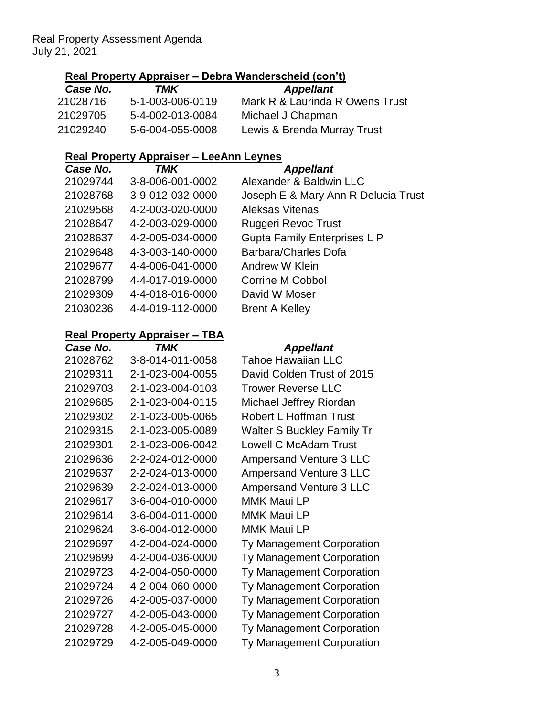### Real Property Assessment Agenda July 21, 2021

## **Real Property Appraiser – Debra Wanderscheid (con't)**

| Case No. | TMK              | <b>Appellant</b>                |
|----------|------------------|---------------------------------|
| 21028716 | 5-1-003-006-0119 | Mark R & Laurinda R Owens Trust |
| 21029705 | 5-4-002-013-0084 | Michael J Chapman               |
| 21029240 | 5-6-004-055-0008 | Lewis & Brenda Murray Trust     |

## **Real Property Appraiser – LeeAnn Leynes**

| Case No. | TMK              | <b>Appellant</b>                    |
|----------|------------------|-------------------------------------|
| 21029744 | 3-8-006-001-0002 | Alexander & Baldwin LLC             |
| 21028768 | 3-9-012-032-0000 | Joseph E & Mary Ann R Delucia Trust |
| 21029568 | 4-2-003-020-0000 | <b>Aleksas Vitenas</b>              |
| 21028647 | 4-2-003-029-0000 | Ruggeri Revoc Trust                 |
| 21028637 | 4-2-005-034-0000 | <b>Gupta Family Enterprises L P</b> |
| 21029648 | 4-3-003-140-0000 | Barbara/Charles Dofa                |
| 21029677 | 4-4-006-041-0000 | Andrew W Klein                      |
| 21028799 | 4-4-017-019-0000 | Corrine M Cobbol                    |
| 21029309 | 4-4-018-016-0000 | David W Moser                       |
| 21030236 | 4-4-019-112-0000 | <b>Brent A Kelley</b>               |
|          |                  |                                     |

## **Real Property Appraiser – TBA**

| Case No. | <b>TMK</b>       | <b>Appellant</b>                  |
|----------|------------------|-----------------------------------|
| 21028762 | 3-8-014-011-0058 | <b>Tahoe Hawaiian LLC</b>         |
| 21029311 | 2-1-023-004-0055 | David Colden Trust of 2015        |
| 21029703 | 2-1-023-004-0103 | <b>Trower Reverse LLC</b>         |
| 21029685 | 2-1-023-004-0115 | Michael Jeffrey Riordan           |
| 21029302 | 2-1-023-005-0065 | Robert L Hoffman Trust            |
| 21029315 | 2-1-023-005-0089 | <b>Walter S Buckley Family Tr</b> |
| 21029301 | 2-1-023-006-0042 | <b>Lowell C McAdam Trust</b>      |
| 21029636 | 2-2-024-012-0000 | <b>Ampersand Venture 3 LLC</b>    |
| 21029637 | 2-2-024-013-0000 | <b>Ampersand Venture 3 LLC</b>    |
| 21029639 | 2-2-024-013-0000 | <b>Ampersand Venture 3 LLC</b>    |
| 21029617 | 3-6-004-010-0000 | <b>MMK Maui LP</b>                |
| 21029614 | 3-6-004-011-0000 | <b>MMK Maui LP</b>                |
| 21029624 | 3-6-004-012-0000 | <b>MMK Maui LP</b>                |
| 21029697 | 4-2-004-024-0000 | Ty Management Corporation         |
| 21029699 | 4-2-004-036-0000 | <b>Ty Management Corporation</b>  |
| 21029723 | 4-2-004-050-0000 | Ty Management Corporation         |
| 21029724 | 4-2-004-060-0000 | Ty Management Corporation         |
| 21029726 | 4-2-005-037-0000 | Ty Management Corporation         |
| 21029727 | 4-2-005-043-0000 | Ty Management Corporation         |
| 21029728 | 4-2-005-045-0000 | Ty Management Corporation         |
| 21029729 | 4-2-005-049-0000 | Ty Management Corporation         |
|          |                  |                                   |